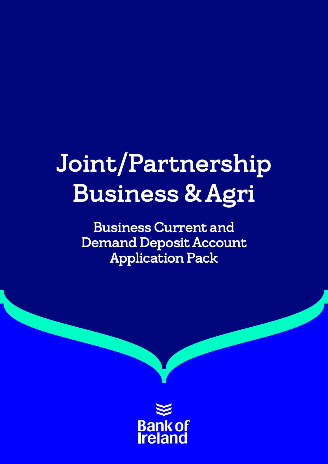# Joint/Partnership Business & Agri

Business Current and Demand Deposit Account Application Pack

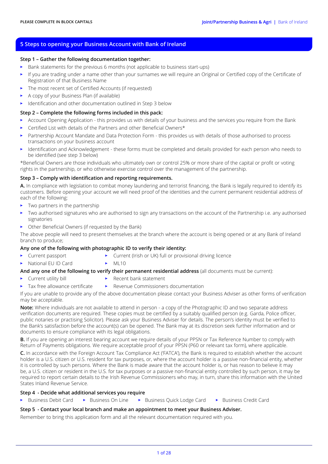## **5 Steps to opening your Business Account with Bank of Ireland**

#### **Step 1 – Gather the following documentation together:**

- Bank statements for the previous 6 months (not applicable to business start-ups)
- If you are trading under a name other than your surnames we will require an Original or Certified copy of the Certificate of Registration of that Business Name
- The most recent set of Certified Accounts (if requested)
- A copy of your Business Plan (if available)
- Identification and other documentation outlined in Step 3 below

#### **Step 2 – Complete the following forms included in this pack:**

- Account Opening Application this provides us with details of your business and the services you require from the Bank
- Certified List with details of the Partners and other Beneficial Owners\*
- Partnership Account Mandate and Data Protection Form this provides us with details of those authorised to process transactions on your business account
- Identification and Acknowledgement these forms must be completed and details provided for each person who needs to be identified (see step 3 below)

\*Beneficial Owners are those individuals who ultimately own or control 25% or more share of the capital or profit or voting rights in the partnership, or who otherwise exercise control over the management of the partnership.

#### **Step 3 – Comply with identification and reporting requirements.**

**A.** In compliance with legislation to combat money laundering and terrorist financing, the Bank is legally required to identify its customers. Before opening your account we will need proof of the identities and the current permanent residential address of each of the following:

- Two partners in the partnership
- Two authorised signatures who are authorised to sign any transactions on the account of the Partnership i.e. any authorised signatories
- Other Beneficial Owners (if requested by the Bank)

The above people will need to present themselves at the branch where the account is being opened or at any Bank of Ireland branch to produce;

#### **Any one of the following with photographic ID to verify their identity:**

- 
- Current passport Current (Irish or UK) full or provisional driving licence
- National EU ID Card ML10
- 

## **And any one of the following to verify their permanent residential address** (all documents must be current):

- Current utility bill Recent bank statement
	- Tax free allowance certificate → Revenue Commissioners documentation

If you are unable to provide any of the above documentation please contact your Business Adviser as other forms of verification may be acceptable.

**Note:** Where individuals are not available to attend in person - a copy of the Photographic ID and two separate address verification documents are required. These copies must be certified by a suitably qualified person (e.g. Garda, Police officer, public notaries or practising Solicitor). Please ask your Business Adviser for details. The person's identity must be verified to the Bank's satisfaction before the account(s) can be opened. The Bank may at its discretion seek further information and or documents to ensure compliance with its legal obligations.

**B.** If you are opening an interest bearing account we require details of your PPSN or Tax Reference Number to comply with Return of Payments obligations. We require acceptable proof of your PPSN (P60 or relevant tax form), where applicable.

**C.** In accordance with the Foreign Account Tax Compliance Act ('FATCA'), the Bank is required to establish whether the account holder is a U.S. citizen or U.S. resident for tax purposes, or, where the account holder is a passive non-financial entity, whether it is controlled by such persons. Where the Bank is made aware that the account holder is, or has reason to believe it may be, a U.S. citizen or resident in the U.S. for tax purposes or a passive non-financial entity controlled by such person, it may be required to report certain details to the Irish Revenue Commissioners who may, in turn, share this information with the United States Inland Revenue Service.

#### **Step 4 - Decide what additional services you require**

• Business Debit Card • Business On Line • Business Quick Lodge Card • Business Credit Card

## **Step 5 - Contact your local branch and make an appointment to meet your Business Adviser.**

Remember to bring this application form and all the relevant documentation required with you.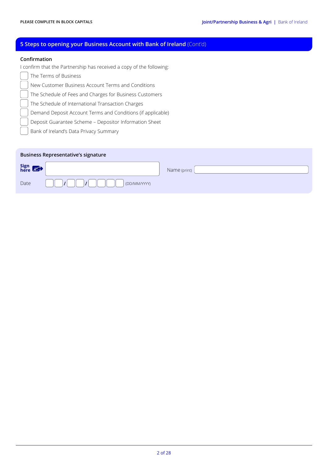## **5 Steps to opening your Business Account with Bank of Ireland** (Cont'd)

#### **Confirmation**

I confirm that the Partnership has received a copy of the following:

- The Terms of Business
	- New Customer Business Account Terms and Conditions
- The Schedule of Fees and Charges for Business Customers

The Schedule of International Transaction Charges

Demand Deposit Account Terms and Conditions (if applicable)

Deposit Guarantee Scheme – Depositor Information Sheet

Bank of Ireland's Data Privacy Summary

| <b>Business Representative's signature</b> |              |              |  |  |  |  |  |
|--------------------------------------------|--------------|--------------|--|--|--|--|--|
| Sign $\bigotimes$                          |              | Name (print) |  |  |  |  |  |
| Date                                       | (DD/MM/YYYY) |              |  |  |  |  |  |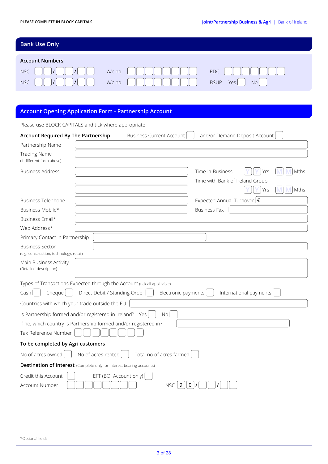# **Bank Use Only**

| <b>Account Numbers</b> |                                                                                                                                                                                                                                                                                                                                                                                                                                                                                                                                                              |                                       |  |  |  |  |  |
|------------------------|--------------------------------------------------------------------------------------------------------------------------------------------------------------------------------------------------------------------------------------------------------------------------------------------------------------------------------------------------------------------------------------------------------------------------------------------------------------------------------------------------------------------------------------------------------------|---------------------------------------|--|--|--|--|--|
|                        | NSC $\begin{bmatrix} \begin{bmatrix} \end{bmatrix} & \begin{bmatrix} \end{bmatrix} & \begin{bmatrix} \end{bmatrix} & \begin{bmatrix} \end{bmatrix} & \begin{bmatrix} \end{bmatrix} & \begin{bmatrix} \end{bmatrix} & \begin{bmatrix} \end{bmatrix} & \begin{bmatrix} \end{bmatrix} & \begin{bmatrix} \end{bmatrix} & \begin{bmatrix} \end{bmatrix} & \begin{bmatrix} \end{bmatrix} & \begin{bmatrix} \end{bmatrix} & \begin{bmatrix} \end{bmatrix} & \begin{bmatrix} \end{bmatrix} & \begin{bmatrix} \end{bmatrix} & \begin{bmatrix} \end{bmatrix} & \begin$ | RDC                                   |  |  |  |  |  |
| NSC                    |                                                                                                                                                                                                                                                                                                                                                                                                                                                                                                                                                              | N <sub>0</sub><br><b>BSUP</b><br>Yesl |  |  |  |  |  |

## **Account Opening Application Form - Partnership Account**

Please use BLOCK CAPITALS and tick where appropriate

| Account Required By The Partnership                                                                                                                 | Business Current Account<br>and/or Demand Deposit Account                         |
|-----------------------------------------------------------------------------------------------------------------------------------------------------|-----------------------------------------------------------------------------------|
| Partnership Name                                                                                                                                    |                                                                                   |
| <b>Trading Name</b><br>(If different from above)                                                                                                    |                                                                                   |
| <b>Business Address</b>                                                                                                                             | Time in Business<br>Mths<br>Yrs<br>Time with Bank of Ireland Group<br>Mths<br>Yrs |
| <b>Business Telephone</b>                                                                                                                           | Expected Annual Turnover $ \epsilon $                                             |
| Business Mobile*                                                                                                                                    | <b>Business Fax</b>                                                               |
| Business Email*                                                                                                                                     |                                                                                   |
| Web Address*                                                                                                                                        |                                                                                   |
| Primary Contact in Partnership                                                                                                                      |                                                                                   |
| <b>Business Sector</b><br>(e.g. construction, technology, retail)                                                                                   |                                                                                   |
| Main Business Activity<br>(Detailed description)                                                                                                    |                                                                                   |
| Types of Transactions Expected through the Account (tick all applicable)<br>Cash<br>Cheque                                                          | Direct Debit / Standing Order<br>Electronic payments<br>International payments    |
| Countries with which your trade outside the EU                                                                                                      |                                                                                   |
| Is Partnership formed and/or registered in Ireland? Yes<br>If no, which country is Partnership formed and/or registered in?<br>Tax Reference Number | <b>No</b>                                                                         |
| To be completed by Agri customers                                                                                                                   |                                                                                   |
| No of acres owned                                                                                                                                   | No of acres rented<br>Total no of acres farmed                                    |
| <b>Destination of Interest</b> (Complete only for interest bearing accounts)                                                                        |                                                                                   |
| Credit this Account<br>Account Number                                                                                                               | EFT (BOI Account only)<br> 0 <br>$NSC$   9                                        |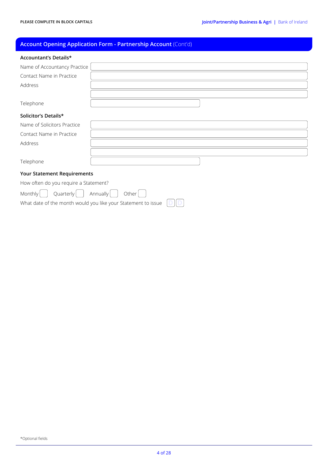# **Account Opening Application Form - Partnership Account** (Cont'd)

| Accountant's Details*                 |                                                               |
|---------------------------------------|---------------------------------------------------------------|
| Name of Accountancy Practice          |                                                               |
| Contact Name in Practice              |                                                               |
| Address                               |                                                               |
|                                       |                                                               |
| Telephone                             |                                                               |
| Solicitor's Details*                  |                                                               |
| Name of Solicitors Practice           |                                                               |
| Contact Name in Practice              |                                                               |
| Address                               |                                                               |
|                                       |                                                               |
| Telephone                             |                                                               |
| <b>Your Statement Requirements</b>    |                                                               |
| How often do you require a Statement? |                                                               |
| Monthly<br>Quarterly                  | Annually<br>Other                                             |
|                                       | What date of the month would you like your Statement to issue |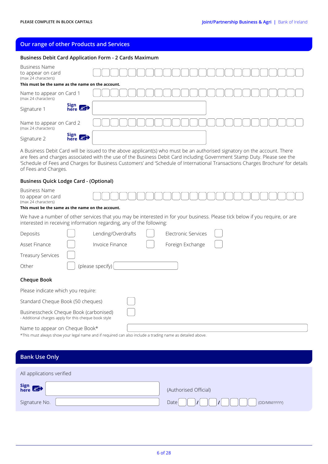#### **Our range of other Products and Services**

#### **Business Debit Card Application Form - 2 Cards Maximum**

| <b>Business Name</b><br>to appear on card<br>(max 24 characters) |        |  |  |  |  |  |  |  |  |
|------------------------------------------------------------------|--------|--|--|--|--|--|--|--|--|
| This must be the same as the name on the account.                |        |  |  |  |  |  |  |  |  |
| Name to appear on Card 1<br>(max 24 characters)                  |        |  |  |  |  |  |  |  |  |
| Signature 1                                                      | Sign 8 |  |  |  |  |  |  |  |  |
| Name to appear on Card 2<br>(max 24 characters)                  |        |  |  |  |  |  |  |  |  |
| Signature 2                                                      | Sign 8 |  |  |  |  |  |  |  |  |

A Business Debit Card will be issued to the above applicant(s) who must be an authorised signatory on the account. There are fees and charges associated with the use of the Business Debit Card including Government Stamp Duty. Please see the 'Schedule of Fees and Charges for Business Customers' and 'Schedule of International Transactions Charges Brochure' for details of Fees and Charges.

#### **Business Quick Lodge Card - (Optional)**

| Business Name<br>to appear on card<br>(max 24 characters)<br>This must be the same as the name on the account. |                                                                                                                                                                                                      |
|----------------------------------------------------------------------------------------------------------------|------------------------------------------------------------------------------------------------------------------------------------------------------------------------------------------------------|
|                                                                                                                | We have a number of other services that you may be interested in for your business. Please tick below if you require, or are<br>interested in receiving information regarding, any of the following: |
|                                                                                                                | the contract of the contract of the contract of<br>the company's company's company's company's                                                                                                       |

| Deposits                                                                                        |                                    | Lending/Overdrafts |  | Electronic Services |  |  |  |
|-------------------------------------------------------------------------------------------------|------------------------------------|--------------------|--|---------------------|--|--|--|
| Asset Finance                                                                                   |                                    | Invoice Finance    |  | Foreign Exchange    |  |  |  |
| <b>Treasury Services</b>                                                                        |                                    |                    |  |                     |  |  |  |
| Other                                                                                           | (please specify) $ $               |                    |  |                     |  |  |  |
| <b>Cheque Book</b>                                                                              |                                    |                    |  |                     |  |  |  |
|                                                                                                 | Please indicate which you require: |                    |  |                     |  |  |  |
|                                                                                                 | Standard Cheque Book (50 cheques)  |                    |  |                     |  |  |  |
| Businesscheck Cheque Book (carbonised)<br>- Additional charges apply for this cheque book style |                                    |                    |  |                     |  |  |  |
| Name to appear on Cheque Book*                                                                  |                                    |                    |  |                     |  |  |  |

\*This must always show your legal name and if required can also include a trading name as detailed above.

#### **Bank Use Only**

| All applications verified |                                   |  |  |  |  |  |
|---------------------------|-----------------------------------|--|--|--|--|--|
| Sign $\bigotimes$         | (Authorised Official)             |  |  |  |  |  |
| Signature No.             | Datel<br>$\prime$<br>(DD/MM/YYYY) |  |  |  |  |  |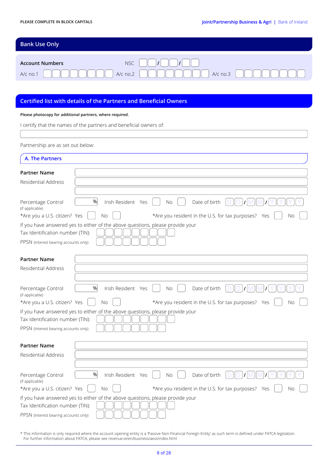| <b>Bank Use Only</b>                 |               |
|--------------------------------------|---------------|
|                                      |               |
| <b>NSC</b><br><b>Account Numbers</b> | $\mathcal{L}$ |
| $A/c$ no.2 $\parallel$<br>$A/c$ no.1 | $A/c$ no.3    |

## **Certified list with details of the Partners and Beneficial Owners**

#### **Please photocopy for additional partners, where required.**

| I certify that the names of the partners and beneficial owners of: |                                                                                |  |  |  |  |
|--------------------------------------------------------------------|--------------------------------------------------------------------------------|--|--|--|--|
|                                                                    |                                                                                |  |  |  |  |
| Partnership are as set out below:                                  |                                                                                |  |  |  |  |
| A. The Partners                                                    |                                                                                |  |  |  |  |
| <b>Partner Name</b>                                                |                                                                                |  |  |  |  |
| Residential Address                                                |                                                                                |  |  |  |  |
|                                                                    |                                                                                |  |  |  |  |
| Percentage Control<br>(if applicable)                              | %<br>Date of birth<br>Irish Resident Yes<br>No                                 |  |  |  |  |
| *Are you a U.S. citizen? Yes                                       | *Are you resident in the U.S. for tax purposes? Yes<br><b>No</b><br>Νo         |  |  |  |  |
| Tax Identification number (TIN):                                   | If you have answered yes to either of the above questions, please provide your |  |  |  |  |
| PPSN (Interest bearing accounts only)                              |                                                                                |  |  |  |  |
|                                                                    |                                                                                |  |  |  |  |
| <b>Partner Name</b>                                                |                                                                                |  |  |  |  |
| Residential Address                                                |                                                                                |  |  |  |  |
|                                                                    |                                                                                |  |  |  |  |
| Percentage Control<br>(if applicable)                              | %<br>Date of birth<br>Irish Resident Yes<br>No                                 |  |  |  |  |
| *Are you a U.S. citizen? Yes                                       | *Are you resident in the U.S. for tax purposes? Yes<br>No.<br>Νo               |  |  |  |  |
|                                                                    | If you have answered yes to either of the above questions, please provide your |  |  |  |  |
| Tax Identification number (TIN):                                   |                                                                                |  |  |  |  |
| PPSN (Interest bearing accounts only)                              |                                                                                |  |  |  |  |
| <b>Partner Name</b>                                                |                                                                                |  |  |  |  |
| Residential Address                                                |                                                                                |  |  |  |  |
|                                                                    |                                                                                |  |  |  |  |
| Percentage Control<br>(if applicable)                              | Irish Resident Yes<br>Date of birth<br>%<br>No                                 |  |  |  |  |
| *Are you a U.S. citizen? Yes                                       | *Are you resident in the U.S. for tax purposes? Yes<br>No<br>Νo                |  |  |  |  |
| Tax Identification number (TIN):                                   | If you have answered yes to either of the above questions, please provide your |  |  |  |  |
| PPSN (Interest bearing accounts only)                              |                                                                                |  |  |  |  |

\* This information is only required where the account opening entity is a 'Passive Non-Financial Foreign Entity' as such term is defined under FATCA legislation. For further information about FATCA, please see revenue.ie/en/business/aeoi/index.html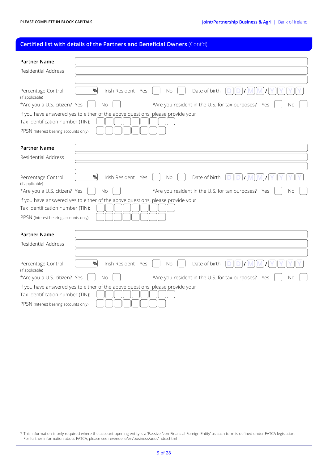## **Certified list with details of the Partners and Beneficial Owners** (Cont'd)

| <b>Partner Name</b>                                                                                                                                         |
|-------------------------------------------------------------------------------------------------------------------------------------------------------------|
| Residential Address                                                                                                                                         |
|                                                                                                                                                             |
| %<br>Date of birth<br>Irish Resident Yes<br>Percentage Control<br>No<br>(if applicable)                                                                     |
| *Are you a U.S. citizen? Yes<br>*Are you resident in the U.S. for tax purposes? Yes<br>No<br>Νo                                                             |
| If you have answered yes to either of the above questions, please provide your<br>Tax Identification number (TIN):<br>PPSN (Interest bearing accounts only) |
|                                                                                                                                                             |
| <b>Partner Name</b>                                                                                                                                         |
| Residential Address                                                                                                                                         |
|                                                                                                                                                             |
| %<br>Date of birth<br>Irish Resident Yes<br>Percentage Control<br><b>No</b><br>(if applicable)                                                              |
| *Are you a U.S. citizen? Yes<br>*Are you resident in the U.S. for tax purposes? Yes<br><b>No</b><br>Νo                                                      |
| If you have answered yes to either of the above questions, please provide your<br>Tax Identification number (TIN):<br>PPSN (Interest bearing accounts only) |
| <b>Partner Name</b>                                                                                                                                         |
| Residential Address                                                                                                                                         |
|                                                                                                                                                             |
| %<br>Date of birth<br>Percentage Control<br>Irish Resident Yes<br>No.<br>(if applicable)                                                                    |
| *Are you a U.S. citizen? Yes<br>*Are you resident in the U.S. for tax purposes? Yes<br><b>No</b><br>Νo                                                      |
| If you have answered yes to either of the above questions, please provide your<br>Tax Identification number (TIN):<br>PPSN (Interest bearing accounts only) |

\* This information is only required where the account opening entity is a 'Passive Non-Financial Foreign Entity' as such term is defined under FATCA legislation. For further information about FATCA, please see revenue.ie/en/business/aeoi/index.html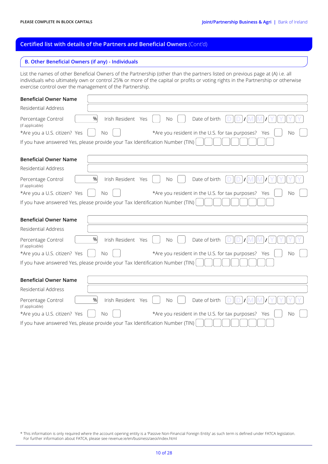## **Certified list with details of the Partners and Beneficial Owners** (Cont'd)

#### **B. Other Beneficial Owners (if any) - Individuals**

List the names of other Beneficial Owners of the Partnership (other than the partners listed on previous page at (A) i.e. all individuals who ultimately own or control 25% or more of the capital or profits or voting rights in the Partnership or otherwise exercise control over the management of the Partnership.

| <b>Beneficial Owner Name</b>                                          |                                                                                                                          |
|-----------------------------------------------------------------------|--------------------------------------------------------------------------------------------------------------------------|
| <b>Residential Address</b>                                            |                                                                                                                          |
| Percentage Control<br>(if applicable)<br>*Are you a U.S. citizen? Yes | %<br>Date of birth<br>Irish Resident Yes<br><b>No</b><br>*Are you resident in the U.S. for tax purposes? Yes<br>No<br>No |
|                                                                       | If you have answered Yes, please provide your Tax Identification Number (TIN)                                            |
| <b>Beneficial Owner Name</b>                                          |                                                                                                                          |
| Residential Address                                                   |                                                                                                                          |
| Percentage Control<br>(if applicable)                                 | Date of birth<br>%<br>Irish Resident Yes<br>No                                                                           |
| *Are you a U.S. citizen? Yes                                          | *Are you resident in the U.S. for tax purposes? Yes<br><b>No</b><br><b>No</b>                                            |
|                                                                       | If you have answered Yes, please provide your Tax Identification Number (TIN)                                            |
|                                                                       |                                                                                                                          |
| <b>Beneficial Owner Name</b>                                          |                                                                                                                          |
| Residential Address                                                   |                                                                                                                          |
| Percentage Control<br>(if applicable)                                 | %<br>Date of birth<br>Irish Resident Yes<br><b>No</b>                                                                    |
| *Are you a U.S. citizen? Yes                                          | *Are you resident in the U.S. for tax purposes? Yes<br>No<br>No                                                          |
|                                                                       | If you have answered Yes, please provide your Tax Identification Number (TIN)                                            |
|                                                                       |                                                                                                                          |
| <b>Beneficial Owner Name</b>                                          |                                                                                                                          |
| Residential Address                                                   |                                                                                                                          |
| Percentage Control<br>(if applicable)                                 | %<br>Date of birth<br>Irish Resident Yes<br>No                                                                           |
| *Are you a U.S. citizen? Yes                                          | *Are you resident in the U.S. for tax purposes? Yes<br><b>No</b><br><b>No</b>                                            |
|                                                                       | If you have answered Yes, please provide your Tax Identification Number (TIN)                                            |

\* This information is only required where the account opening entity is a 'Passive Non-Financial Foreign Entity' as such term is defined under FATCA legislation. For further information about FATCA, please see revenue.ie/en/business/aeoi/index.html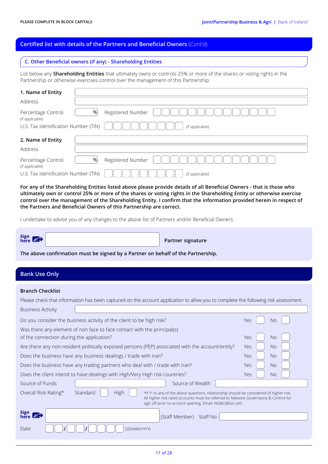#### **Certified list with details of the Partners and Beneficial Owners** (Cont'd)

#### **C. Other Beneficial owners (if any) - Shareholding Entities**

List below any **Shareholding Entities** that ultimately owns or controls 25% or more of the shares or voting rights in the Partnership or otherwise exercises control over the management of this Partnership:

| 1. Name of Entity                     |   |                   |
|---------------------------------------|---|-------------------|
| Address                               |   |                   |
| Percentage Control<br>(if applicable) | % | Registered Number |
| U.S. Tax Identification Number (TIN)  |   | (if applicable)   |
| 2. Name of Entity                     |   |                   |
| Address                               |   |                   |
| Percentage Control<br>(if applicable) | % | Registered Number |
| U.S. Tax Identification Number (TIN)  |   | (if applicable)   |

**For any of the Shareholding Entities listed above please provide details of all Beneficial Owners - that is those who ultimately own or control 25% or more of the shares or voting rights in the Shareholding Entity or otherwise exercise control over the management of the Shareholding Entity. I confirm that the information provided herein in respect of the Partners and Beneficial Owners of this Partnership are correct.**

I undertake to advise you of any changes to the above list of Partners and/or Beneficial Owners.

Sign<br>here

**Partner signature** 

**The above confirmation must be signed by a Partner on behalf of the Partnership.**

## **Bank Use Only**

#### **Branch Checklist**

| Please check that information has been captured on the account application to allow you to complete the following risk assessment.                                                                                                                                                    |                                                                                                  |  |                          |  |     |           |
|---------------------------------------------------------------------------------------------------------------------------------------------------------------------------------------------------------------------------------------------------------------------------------------|--------------------------------------------------------------------------------------------------|--|--------------------------|--|-----|-----------|
| <b>Business Activity</b>                                                                                                                                                                                                                                                              |                                                                                                  |  |                          |  |     |           |
|                                                                                                                                                                                                                                                                                       | Do you consider the business activity of the client to be high risk?                             |  |                          |  | Yes | <b>No</b> |
|                                                                                                                                                                                                                                                                                       | Was there any element of non face to face contact with the principal(s)                          |  |                          |  |     |           |
| of the connection during the application?                                                                                                                                                                                                                                             |                                                                                                  |  |                          |  | Yes | <b>No</b> |
|                                                                                                                                                                                                                                                                                       | Are there any non-resident politically exposed persons (PEP) associated with the account/entity? |  |                          |  | Yes | <b>No</b> |
|                                                                                                                                                                                                                                                                                       | Does the business have any business dealings / trade with Iran?                                  |  |                          |  | Yes | <b>No</b> |
|                                                                                                                                                                                                                                                                                       | Does the business have any trading partners who deal with / trade with Iran?                     |  |                          |  | Yes | <b>No</b> |
|                                                                                                                                                                                                                                                                                       | Does the client intend to have dealings with High/Very High risk countries?                      |  |                          |  | Yes | <b>No</b> |
| Source of Funds                                                                                                                                                                                                                                                                       |                                                                                                  |  | Source of Wealth         |  |     |           |
| Standard<br>High<br>Overall Risk Rating*<br>*If 'Y' to any of the above questions, relationship should be considered of higher risk.<br>All higher risk rated accounts must be referred to Network Governance & Control for<br>sign off prior to account opening. Email: NG&C@boi.com |                                                                                                  |  |                          |  |     |           |
| Sign<br>here <b>A</b>                                                                                                                                                                                                                                                                 |                                                                                                  |  | (Staff Member) Staff No. |  |     |           |
| Date                                                                                                                                                                                                                                                                                  | (DD/MM/YYYY)                                                                                     |  |                          |  |     |           |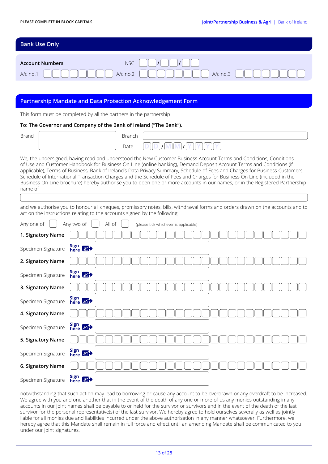| <b>Bank Use Only</b>   |                                             |
|------------------------|---------------------------------------------|
|                        |                                             |
| <b>Account Numbers</b> | <b>NSC</b><br>$\mathbf{I}$<br>$\mathcal{L}$ |
| A/c no.1               | $A/c$ no.2<br>$A/c$ no.3                    |

## **Partnership Mandate and Data Protection Acknowledgement Form**

This form must be completed by all the partners in the partnership

#### **To: The Governor and Company of the Bank of Ireland ("The Bank").**

| Brand | $1 - 1 -$<br>י וטווט וש |  |
|-------|-------------------------|--|
|       | Date                    |  |

We, the undersigned, having read and understood the New Customer Business Account Terms and Conditions, Conditions of Use and Customer Handbook for Business On Line (online banking), Demand Deposit Account Terms and Conditions (if applicable), Terms of Business, Bank of Ireland's Data Privacy Summary, Schedule of Fees and Charges for Business Customers, Schedule of International Transaction Charges and the Schedule of Fees and Charges for Business On Line (included in the Business On Line brochure) hereby authorise you to open one or more accounts in our names, or in the Registered Partnership name of

and we authorise you to honour all cheques, promissory notes, bills, withdrawal forms and orders drawn on the accounts and to act on the instructions relating to the accounts signed by the following:

| Any one of         | All of<br>Any two of<br>(please tick whichever is applicable) |
|--------------------|---------------------------------------------------------------|
| 1. Signatory Name  |                                                               |
| Specimen Signature | Sign 8                                                        |
| 2. Signatory Name  |                                                               |
| Specimen Signature | Sign 8                                                        |
| 3. Signatory Name  |                                                               |
| Specimen Signature | Sign 87                                                       |
| 4. Signatory Name  |                                                               |
| Specimen Signature | Sign 87                                                       |
| 5. Signatory Name  |                                                               |
| Specimen Signature | Sign 87                                                       |
| 6. Signatory Name  |                                                               |
| Specimen Signature | Sign 87                                                       |

notwithstanding that such action may lead to borrowing or cause any account to be overdrawn or any overdraft to be increased. We agree with you and one another that in the event of the death of any one or more of us any monies outstanding in any accounts in our joint names shall be payable to or held for the survivor or survivors and in the event of the death of the last survivor for the personal representative(s) of the last survivor. We hereby agree to hold ourselves severally as well as jointly liable for all monies due and liabilities incurred under the above authorisation in any manner whatsoever. Furthermore, we hereby agree that this Mandate shall remain in full force and effect until an amending Mandate shall be communicated to you under our joint signatures.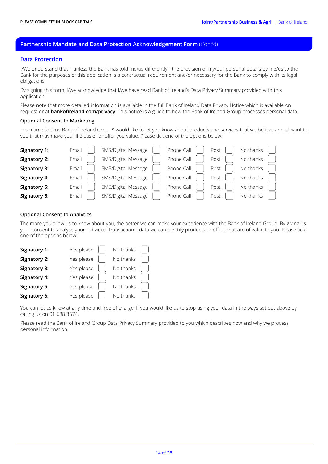## **Partnership Mandate and Data Protection Acknowledgement Form** (Cont'd)

#### **Data Protection**

I/We understand that – unless the Bank has told me/us differently - the provision of my/our personal details by me/us to the Bank for the purposes of this application is a contractual requirement and/or necessary for the Bank to comply with its legal obligations.

By signing this form, I/we acknowledge that I/we have read Bank of Ireland's Data Privacy Summary provided with this application.

Please note that more detailed information is available in the full Bank of Ireland Data Privacy Notice which is available on request or at **bankofireland.com/privacy**. This notice is a guide to how the Bank of Ireland Group processes personal data.

#### **Optional Consent to Marketing**

From time to time Bank of Ireland Group\* would like to let you know about products and services that we believe are relevant to you that may make your life easier or offer you value. Please tick one of the options below:

| Signatory 1:        | Email | SMS/Digital Message | Phone Call | Post | No thanks |
|---------------------|-------|---------------------|------------|------|-----------|
| Signatory 2:        | Email | SMS/Digital Message | Phone Call | Post | No thanks |
| Signatory 3:        | Email | SMS/Digital Message | Phone Call | Post | No thanks |
| Signatory 4:        | Email | SMS/Digital Message | Phone Call | Post | No thanks |
| <b>Signatory 5:</b> | Email | SMS/Digital Message | Phone Call | Post | No thanks |
| Signatory 6:        | Email | SMS/Digital Message | Phone Call | Post | No thanks |

#### **Optional Consent to Analytics**

The more you allow us to know about you, the better we can make your experience with the Bank of Ireland Group. By giving us your consent to analyse your individual transactional data we can identify products or offers that are of value to you. Please tick one of the options below:

| Signatory 1:        | Yes please | No thanks |  |
|---------------------|------------|-----------|--|
| Signatory 2:        | Yes please | No thanks |  |
| Signatory 3:        | Yes please | No thanks |  |
| Signatory 4:        | Yes please | No thanks |  |
| <b>Signatory 5:</b> | Yes please | No thanks |  |
| Signatory 6:        | Yes please | No thanks |  |

You can let us know at any time and free of charge, if you would like us to stop using your data in the ways set out above by calling us on 01 688 3674.

Please read the Bank of Ireland Group Data Privacy Summary provided to you which describes how and why we process personal information.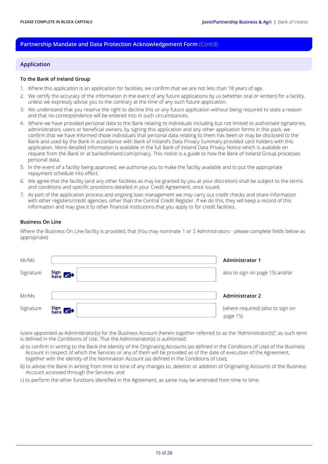## **Partnership Mandate and Data Protection Acknowledgement Form** (Cont'd)

#### **Application**

#### **To the Bank of Ireland Group**

- 1. Where this application is an application for facilities, we confirm that we are not less than 18 years of age.
- 2. We certify the accuracy of the information in the event of any future applications by us (whether oral or written) for a facility, unless we expressly advise you to the contrary at the time of any such future application.
- 3. We understand that you reserve the right to decline this or any future application without being required to state a reason and that no correspondence will be entered into in such circumstances.
- 4. Where we have provided personal data to the Bank relating to individuals including but not limited to authorised signatories, administrators, users or beneficial owners, by signing this application and any other application forms in this pack, we confirm that we have informed those individuals that personal data relating to them has been or may be disclosed to the Bank and used by the Bank in accordance with Bank of Ireland's Data Privacy Summary provided card holders with this application. More detailed information is available in the full Bank of Ireland Data Privacy Notice which is available on request from the Bank or at bankofireland.com/privacy. This notice is a guide to how the Bank of Ireland Group processes personal data.
- 5. In the event of a facility being approved, we authorise you to make the facility available and to put the appropriate repayment schedule into effect.
- 6. We agree that the facility (and any other facilities as may be granted by you at your discretion) shall be subject to the terms and conditions and specific provisions detailed in your Credit Agreement, once issued.
- 7. As part of the application process and ongoing loan management we may carry out credit checks and share information with other registers/credit agencies, other than the Central Credit Register. If we do this, they will keep a record of this information and may give it to other financial institutions that you apply to for credit facilities.

#### **Business On Line**

Where the Business On Line facility is provided, that (You may nominate 1 or 2 Administrators - please complete fields below as appropriate)

| Mr/Ms     |              | <b>Administrator 1</b>                        |
|-----------|--------------|-----------------------------------------------|
| Signature | Sign<br>here | also to sign on page 15) and/or               |
| Mr/Ms     |              | <b>Administrator 2</b>                        |
| Signature | Sign 8       | (where required) (also to sign on<br>page 15) |

is/are appointed as Administrator(s) for the Business Account (herein together referred to as the "Administrator(s)", as such term is defined in the Conditions of Use. That the Administrator(s) is authorised:

- a) to confirm in writing to the Bank the identity of the Originating Accounts (as defined in the Conditions of Use) of the Business Account in respect of which the Services or any of them will be provided as of the date of execution of the Agreement, together with the identity of the Nomination Account (as defined in the Conditions of Use);
- b) to advise the Bank in writing from time to time of any changes to, deletion or addition of Originating Accounts of the Business Account accessed through the Services; and
- c) to perform the other functions identified in the Agreement, as same may be amended from time to time.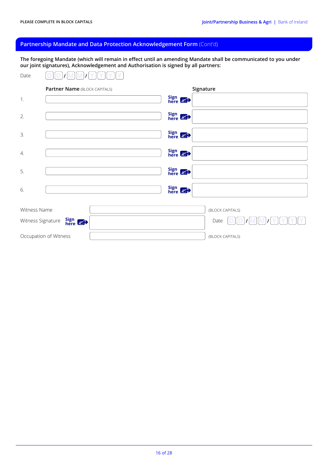## **Partnership Mandate and Data Protection Acknowledgement Form** (Cont'd)

**The foregoing Mandate (which will remain in effect until an amending Mandate shall be communicated to you under our joint signatures), Acknowledgement and Authorisation is signed by all partners:**

| Date         |                               |                           |
|--------------|-------------------------------|---------------------------|
|              | Partner Name (BLOCK CAPITALS) | Signature                 |
| 1.           |                               | Sign<br>here              |
| 2.           |                               | Sign<br>here              |
| 3.           |                               | Sign<br>here 87           |
| 4.           |                               | Sign<br>here $\mathbb{Z}$ |
| 5.           |                               | Sign<br>here 87           |
| 6.           |                               | Sign 8                    |
| Witness Name |                               | (BLOCK CAPITALS)          |
|              | Sign 8<br>Witness Signature   | Date                      |
|              | Occupation of Witness         | (BLOCK CAPITALS)          |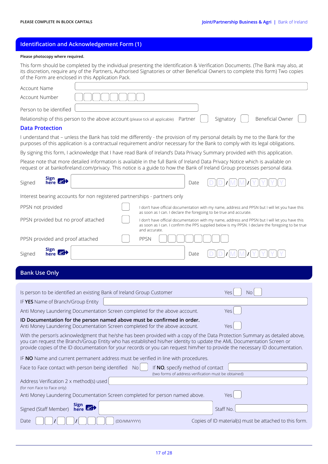## **Identification and Acknowledgement Form (1)**

#### **Please photocopy where required.**

This form should be completed by the individual presenting the Identification & Verification Documents. (The Bank may also, at its discretion, require any of the Partners, Authorised Signatories or other Beneficial Owners to complete this form) Two copies of the Form are enclosed in this Application Pack.

| Account Name                                                           |                                                                                                                                                                                                                                                                                                                                                                                         |
|------------------------------------------------------------------------|-----------------------------------------------------------------------------------------------------------------------------------------------------------------------------------------------------------------------------------------------------------------------------------------------------------------------------------------------------------------------------------------|
| Account Number                                                         |                                                                                                                                                                                                                                                                                                                                                                                         |
| Person to be identified                                                |                                                                                                                                                                                                                                                                                                                                                                                         |
|                                                                        | Beneficial Owner<br>Relationship of this person to the above account (please tick all applicable)<br>Signatory<br>Partner                                                                                                                                                                                                                                                               |
| <b>Data Protection</b>                                                 |                                                                                                                                                                                                                                                                                                                                                                                         |
|                                                                        | I understand that – unless the Bank has told me differently - the provision of my personal details by me to the Bank for the<br>purposes of this application is a contractual requirement and/or necessary for the Bank to comply with its legal obligations.                                                                                                                           |
|                                                                        | By signing this form, I acknowledge that I have read Bank of Ireland's Data Privacy Summary provided with this application.                                                                                                                                                                                                                                                             |
|                                                                        | Please note that more detailed information is available in the full Bank of Ireland Data Privacy Notice which is available on<br>request or at bankofireland.com/privacy. This notice is a guide to how the Bank of Ireland Group processes personal data.                                                                                                                              |
| Sign 8<br>Signed                                                       | Date                                                                                                                                                                                                                                                                                                                                                                                    |
|                                                                        | Interest bearing accounts for non registered partnerships - partners only                                                                                                                                                                                                                                                                                                               |
| PPSN not provided                                                      | I don't have official documentation with my name, address and PPSN but I will let you have this<br>as soon as I can. I declare the foregoing to be true and accurate.                                                                                                                                                                                                                   |
| PPSN provided but no proof attached                                    | I don't have official documentation with my name, address and PPSN but I will let you have this<br>as soon as I can. I confirm the PPS supplied below is my PPSN. I declare the foregoing to be true<br>and accurate.                                                                                                                                                                   |
| PPSN provided and proof attached                                       | PPSN                                                                                                                                                                                                                                                                                                                                                                                    |
| Sign $\mathbb{Z}^2$<br>Signed                                          | Date                                                                                                                                                                                                                                                                                                                                                                                    |
| <b>Bank Use Only</b>                                                   |                                                                                                                                                                                                                                                                                                                                                                                         |
|                                                                        |                                                                                                                                                                                                                                                                                                                                                                                         |
|                                                                        | Is person to be identified an existing Bank of Ireland Group Customer<br>Yes<br><b>No</b>                                                                                                                                                                                                                                                                                               |
| IF YES Name of Branch/Group Entity                                     |                                                                                                                                                                                                                                                                                                                                                                                         |
|                                                                        | Anti Money Laundering Documentation Screen completed for the above account.<br>Yes                                                                                                                                                                                                                                                                                                      |
|                                                                        | ID Documentation for the person named above must be confirmed in order.<br>Anti Money Laundering Documentation Screen completed for the above account.<br>Yes                                                                                                                                                                                                                           |
|                                                                        | With the person's acknowledgment that he/she has been provided with a copy of the Data Protection Summary as detailed above,<br>you can request the Branch/Group Entity who has established his/her identity to update the AML Documentation Screen or<br>provide copies of the ID documentation for your records or you can request him/her to provide the necessary ID documentation. |
|                                                                        | IF NO Name and current permanent address must be verified in line with procedures.                                                                                                                                                                                                                                                                                                      |
|                                                                        | Face to Face contact with person being identified No<br>If NO, specify method of contact                                                                                                                                                                                                                                                                                                |
| Address Verification 2 x method(s) used<br>(for non Face to Face only) | (two forms of address verification must be obtained)                                                                                                                                                                                                                                                                                                                                    |
|                                                                        | Anti Money Laundering Documentation Screen completed for person named above.<br>Yes                                                                                                                                                                                                                                                                                                     |
| Signed (Staff Member) here                                             | Sign<br>Staff No.                                                                                                                                                                                                                                                                                                                                                                       |
| Date                                                                   | Copies of ID material(s) must be attached to this form.<br>(DD/MM/YYYY)                                                                                                                                                                                                                                                                                                                 |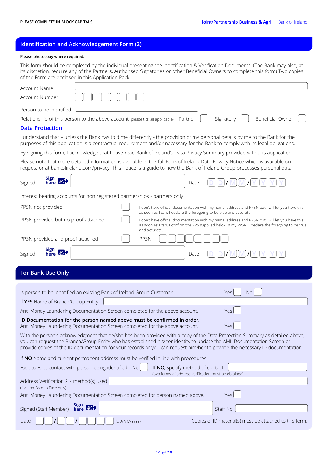## **Identification and Acknowledgement Form (2)**

#### **Please photocopy where required.**

This form should be completed by the individual presenting the Identification & Verification Documents. (The Bank may also, at its discretion, require any of the Partners, Authorised Signatories or other Beneficial Owners to complete this form) Two copies of the Form are enclosed in this Application Pack.

| Account Name                                                           |                                                                                                                                                                                                                                                                                                                                                                                         |
|------------------------------------------------------------------------|-----------------------------------------------------------------------------------------------------------------------------------------------------------------------------------------------------------------------------------------------------------------------------------------------------------------------------------------------------------------------------------------|
| Account Number                                                         |                                                                                                                                                                                                                                                                                                                                                                                         |
| Person to be identified                                                |                                                                                                                                                                                                                                                                                                                                                                                         |
|                                                                        | <b>Beneficial Owner</b><br>Relationship of this person to the above account (please tick all applicable)<br>Signatory<br>Partner                                                                                                                                                                                                                                                        |
| <b>Data Protection</b>                                                 |                                                                                                                                                                                                                                                                                                                                                                                         |
|                                                                        | I understand that – unless the Bank has told me differently - the provision of my personal details by me to the Bank for the<br>purposes of this application is a contractual requirement and/or necessary for the Bank to comply with its legal obligations.                                                                                                                           |
|                                                                        | By signing this form, I acknowledge that I have read Bank of Ireland's Data Privacy Summary provided with this application.                                                                                                                                                                                                                                                             |
|                                                                        | Please note that more detailed information is available in the full Bank of Ireland Data Privacy Notice which is available on<br>request or at bankofireland.com/privacy. This notice is a guide to how the Bank of Ireland Group processes personal data.                                                                                                                              |
| Sign 8<br>Signed                                                       | Date                                                                                                                                                                                                                                                                                                                                                                                    |
|                                                                        | Interest bearing accounts for non registered partnerships - partners only                                                                                                                                                                                                                                                                                                               |
| PPSN not provided                                                      | I don't have official documentation with my name, address and PPSN but I will let you have this<br>as soon as I can. I declare the foregoing to be true and accurate.                                                                                                                                                                                                                   |
| PPSN provided but no proof attached                                    | I don't have official documentation with my name, address and PPSN but I will let you have this<br>as soon as I can. I confirm the PPS supplied below is my PPSN. I declare the foregoing to be true<br>and accurate.                                                                                                                                                                   |
| PPSN provided and proof attached                                       | PPSN                                                                                                                                                                                                                                                                                                                                                                                    |
| Sign 8<br>Signed                                                       | Date                                                                                                                                                                                                                                                                                                                                                                                    |
|                                                                        |                                                                                                                                                                                                                                                                                                                                                                                         |
| For Bank Use Only                                                      |                                                                                                                                                                                                                                                                                                                                                                                         |
|                                                                        |                                                                                                                                                                                                                                                                                                                                                                                         |
|                                                                        | Is person to be identified an existing Bank of Ireland Group Customer<br>Yes<br><b>No</b>                                                                                                                                                                                                                                                                                               |
| If YES Name of Branch/Group Entity                                     |                                                                                                                                                                                                                                                                                                                                                                                         |
|                                                                        | Anti Money Laundering Documentation Screen completed for the above account.<br>Yes                                                                                                                                                                                                                                                                                                      |
|                                                                        | ID Documentation for the person named above must be confirmed in order.<br>Anti Money Laundering Documentation Screen completed for the above account.<br>Yes                                                                                                                                                                                                                           |
|                                                                        | With the person's acknowledgment that he/she has been provided with a copy of the Data Protection Summary as detailed above,<br>you can request the Branch/Group Entity who has established his/her identity to update the AML Documentation Screen or<br>provide copies of the ID documentation for your records or you can request him/her to provide the necessary ID documentation. |
|                                                                        | If NO Name and current permanent address must be verified in line with procedures.                                                                                                                                                                                                                                                                                                      |
|                                                                        | Face to Face contact with person being identified No<br>If NO, specify method of contact                                                                                                                                                                                                                                                                                                |
| Address Verification 2 x method(s) used<br>(for non Face to Face only) | (two forms of address verification must be obtained)                                                                                                                                                                                                                                                                                                                                    |
|                                                                        | Anti Money Laundering Documentation Screen completed for person named above.<br>Yes                                                                                                                                                                                                                                                                                                     |
| Signed (Staff Member)                                                  | Sign $\mathbb{Z}^+$<br>Staff No.                                                                                                                                                                                                                                                                                                                                                        |
| Date                                                                   | Copies of ID material(s) must be attached to this form.<br>(DD/MM/YYYY)                                                                                                                                                                                                                                                                                                                 |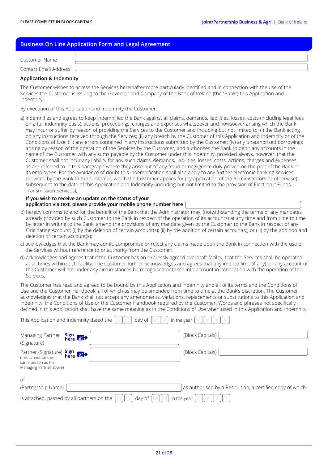## **Business On Line Application Form and Legal Agreement**

| Customer Name         |  |
|-----------------------|--|
| Contact Email Address |  |
|                       |  |

#### **Application & Indemnity**

The Customer wishes to access the Services hereinafter more particularly identified and in connection with the use of the Services the Customer is issuing to the Governor and Company of the Bank of Ireland (the "Bank") this Application and Indemnity.

By execution of this Application and Indemnity the Customer:

a) indemnifies and agrees to keep indemnified the Bank against all claims, demands, liabilities, losses, costs (including legal fees on a full indemnity basis), actions, proceedings, charges and expenses whatsoever and howsoever arising which the Bank may incur or suffer by reason of providing the Services to the Customer and including but not limited to; (i) the Bank acting on any instructions received through the Services; (ii) any breach by the Customer of this Application and Indemnity or of the Conditions of Use; (iii) any errors contained in any instructions submitted by the Customer; (iv) any unauthorised borrowings arising by reason of the operation of the Services by the Customer; and authorises the Bank to debit any accounts in the name of the Customer with any sums payable by the Customer under this indemnity, provided always, however, that the Customer shall not incur any liability for any such claims, demands, liabilities, losses, costs, actions, charges and expenses as are referred to in this paragraph where they arise out of any fraud or negligence duly proved on the part of the Bank or its employees. For the avoidance of doubt this indemnification shall also apply to any further electronic banking services provided by the Bank to the Customer, which the Customer applies for (by application of the Administrators or otherwise) subsequent to the date of this Application and Indemnity (including but not limited to the provision of Electronic Funds Transmission Services);

#### **If you wish to receive an update on the status of your application via text, please provide your mobile phone number here**

- b) hereby confirms to and for the benefit of the Bank that the Administrator may, (notwithstanding the terms of any mandates already provided by such Customer to the Bank in respect of the operation of its accounts) at any time and from time to time by letter in writing to the Bank, amend the provisions of any mandate given by the Customer to the Bank in respect of any Originating Account; (i) by the deletion of certain account(s); (ii) by the addition of certain account(s); or (iii) by the addition and deletion of certain account(s);
- c) acknowledges that the Bank may admit, compromise or reject any claims made upon the Bank in connection with the use of the Services without reference to or authority from the Customer;
- d) acknowledges and agrees that if the Customer has an expressly agreed overdraft facility, that the Services shall be operated at all times within such facility. The Customer further acknowledges and agrees that any implied limit (if any) on any account of the Customer will not under any circumstances be recognised or taken into account in connection with the operation of the Services;

The Customer has read and agreed to be bound by this Application and Indemnity and all of its terms and the Conditions of Use and the Customer Handbook, all of which as may be amended from time to time at the Bank's discretion. The Customer acknowledges that the Bank shall not accept any amendments, variations, replacements or substitutions to this Application and Indemnity, the Conditions of Use or the Customer Handbook required by the Customer. Words and phrases not specifically defined in this Application shall have the same meaning as in the Conditions of Use when used in this Application and Indemnity.

|                                                                                             | This Application and Indemnity dated the<br>day of   | in the year                                              |
|---------------------------------------------------------------------------------------------|------------------------------------------------------|----------------------------------------------------------|
| Managing Partner<br>(Signature)                                                             | Sign $\mathbb{Z}$                                    | (Block Capitals)                                         |
| Partner (Signature)<br>(this cannot be the<br>same person as the<br>Managing Partner above) | Sign $\mathbb{Z}$                                    | (Block Capitals)                                         |
| of                                                                                          |                                                      |                                                          |
| (Partnership Name)                                                                          |                                                      | as authorised by a Resolution, a certified copy of which |
|                                                                                             | is attached, passed by all partners on the<br>day of | in the year                                              |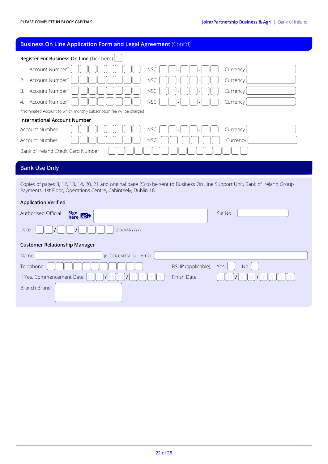Branch Brand

# **Register For Business On Line** (Tick here) 1. Account Number<sup>\*</sup> | | | | | | | | | | | | | | NSC **| | | | | | | | | | | | Currency** 2. Account Number<sup>\*</sup> | | | | | | | | | | | NSC | | |- | | |- | | | Currency 3. Account Number<sup>\*</sup> | | | | | | | | | | | | NSC | | |- | | |- | | | Currency 4. Account Number<sup>\*</sup> | | | | | | | | | | | | NSC | | | | | | | | | | | Currency \*Nominated Account to which monthly subscription fee will be charged **International Account Number** Account Number  $\begin{bmatrix} 0 & 0 \\ 0 & 0 \end{bmatrix}$   $\begin{bmatrix} 0 & 0 \\ 0 & 1 \end{bmatrix}$   $\begin{bmatrix} 0 & 0 \\ 0 & 1 \end{bmatrix}$   $\begin{bmatrix} 0 & 0 \\ 0 & 1 \end{bmatrix}$   $\begin{bmatrix} 0 & 0 \\ 0 & 1 \end{bmatrix}$   $\begin{bmatrix} 0 & 0 \\ 0 & 1 \end{bmatrix}$   $\begin{bmatrix} 0 & 0 \\ 0 & 1 \end{bmatrix}$   $\begin{bmatrix} 0 & 0 \\ 0 & 1 \end{bmatrix}$ Account Number NSC **- -** Currency Bank of Ireland Credit Card Number **Business On Line Application Form and Legal Agreement** (Cont'd) **SECTION C FOR BANK USE ONLY Bank Use Only**Copies of pages 3, 12, 13, 14, 20, 21 and original page 23 to be sent to Business On Line Support Unit, Bank of Ireland Group Payments, 1st Floor, Operations Centre, Cabinteely, Dublin 18. **Application Verified Authorised Official here** Sig No. **here** Sig No. Date **/ /** (DD/MM/YYYY) **Customer Relationship Manager**  Name (BLOCK CAPITALS) Email Telephone BSUP (applicable) Yes No

If Yes, Commencement Date **D D / M M / Y Y Y Y** Finish Date **D D / M M / Y Y Y Y**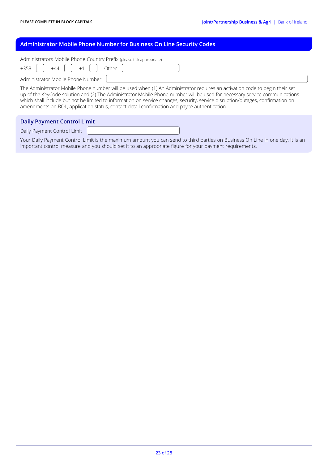## **Administrator Mobile Phone Number for Business On Line Security Codes**

| Administrators Mobile Phone Country Prefix (please tick appropriate)                                                                                                                                                                                                                                                                                                                                                                                                                         |
|----------------------------------------------------------------------------------------------------------------------------------------------------------------------------------------------------------------------------------------------------------------------------------------------------------------------------------------------------------------------------------------------------------------------------------------------------------------------------------------------|
| $+353$ $+44$ $+1$ $+1$<br>Other                                                                                                                                                                                                                                                                                                                                                                                                                                                              |
| Administrator Mobile Phone Number                                                                                                                                                                                                                                                                                                                                                                                                                                                            |
| The Administrator Mobile Phone number will be used when (1) An Administrator requires an activation code to begin their set<br>up of the KeyCode solution and (2) The Administrator Mobile Phone number will be used for necessary service communications<br>which shall include but not be limited to information on service changes, security, service disruption/outages, confirmation on<br>amendments on BOL, application status, contact detail confirmation and payee authentication. |
|                                                                                                                                                                                                                                                                                                                                                                                                                                                                                              |

## **Daily Payment Control Limit**

Daily Payment Control Limit

Your Daily Payment Control Limit is the maximum amount you can send to third parties on Business On Line in one day. It is an important control measure and you should set it to an appropriate figure for your payment requirements.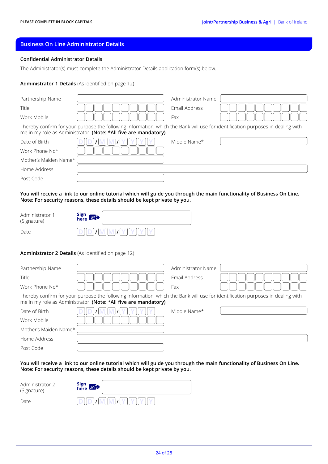## **Business On Line Administrator Details**

#### **Confidential Administrator Details**

The Administrator(s) must complete the Administrator Details application form(s) below.

#### **Administrator 1 Details** (As identified on page 12)

| Partnership Name      |                                                                                                                                                                                                      | Administrator Name |  |
|-----------------------|------------------------------------------------------------------------------------------------------------------------------------------------------------------------------------------------------|--------------------|--|
| Title                 |                                                                                                                                                                                                      | Email Address      |  |
| Work Mobile           |                                                                                                                                                                                                      | Fax                |  |
|                       | I hereby confirm for your purpose the following information, which the Bank will use for identification purposes in dealing with<br>me in my role as Administrator. (Note: *All five are mandatory). |                    |  |
| Date of Birth         |                                                                                                                                                                                                      | Middle Name*       |  |
| Work Phone No*        |                                                                                                                                                                                                      |                    |  |
| Mother's Maiden Name* |                                                                                                                                                                                                      |                    |  |
| Home Address          |                                                                                                                                                                                                      |                    |  |
| Post Code             |                                                                                                                                                                                                      |                    |  |

**You will receive a link to our online tutorial which will guide you through the main functionality of Business On Line. Note: For security reasons, these details should be kept private by you.**

| Administrator 1<br>(Signature) | Sign 8 |
|--------------------------------|--------|
| Date                           |        |

#### **Administrator 2 Details** (As identified on page 12)

| Partnership Name      |                                                                                                                                                                                                      | Administrator Name |  |
|-----------------------|------------------------------------------------------------------------------------------------------------------------------------------------------------------------------------------------------|--------------------|--|
| Title                 |                                                                                                                                                                                                      | Email Address      |  |
| Work Phone No*        |                                                                                                                                                                                                      | Fax                |  |
|                       | I hereby confirm for your purpose the following information, which the Bank will use for identification purposes in dealing with<br>me in my role as Administrator. (Note: *All five are mandatory). |                    |  |
| Date of Birth         |                                                                                                                                                                                                      | Middle Name*       |  |
| Work Mobile           |                                                                                                                                                                                                      |                    |  |
| Mother's Maiden Name* |                                                                                                                                                                                                      |                    |  |
| Home Address          |                                                                                                                                                                                                      |                    |  |
| Post Code             |                                                                                                                                                                                                      |                    |  |

**You will receive a link to our online tutorial which will guide you through the main functionality of Business On Line. Note: For security reasons, these details should be kept private by you.**

| Administrator 2<br>(Signature) | Sign $\mathbb{Z}$             |
|--------------------------------|-------------------------------|
| Date                           | $D D D I M M J Y I Y I Y I Y$ |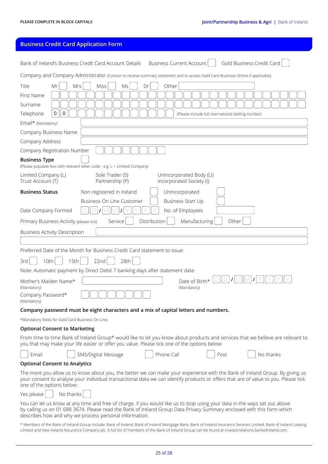# **Business Credit Card Application Form**

| Gold Business Credit Card<br>Bank of Ireland's Business Credit Card Account Details<br><b>Business Current Account</b>                                                                                                                                                                                                         |  |  |  |
|--------------------------------------------------------------------------------------------------------------------------------------------------------------------------------------------------------------------------------------------------------------------------------------------------------------------------------|--|--|--|
| Company and Company Administrator (Contact to receive summary statement and to access Gold Card Business Online if applicable)                                                                                                                                                                                                 |  |  |  |
| <b>Miss</b><br>Mrs<br>Other<br>Title<br>Ms<br>Dr<br>Mr                                                                                                                                                                                                                                                                         |  |  |  |
| First Name                                                                                                                                                                                                                                                                                                                     |  |  |  |
| Surname                                                                                                                                                                                                                                                                                                                        |  |  |  |
| $\mathbf 0$<br>0<br>Telephone<br>(Please include full international dialling number)                                                                                                                                                                                                                                           |  |  |  |
| Email* (Mandatory)                                                                                                                                                                                                                                                                                                             |  |  |  |
| Company Business Name                                                                                                                                                                                                                                                                                                          |  |  |  |
| Company Address                                                                                                                                                                                                                                                                                                                |  |  |  |
| Company Registration Number                                                                                                                                                                                                                                                                                                    |  |  |  |
| <b>Business Type</b><br>(Please populate box with relevant letter code - e.g. L = Limited Company)                                                                                                                                                                                                                             |  |  |  |
| Sole Trader (S)<br>Limited Company (L)<br>Unincorporated Body (U)<br>Trust Account (T)<br>Partnership (P)<br>Incorporated Society (I)                                                                                                                                                                                          |  |  |  |
| <b>Business Status</b><br>Non registered in Ireland<br>Unincorporated                                                                                                                                                                                                                                                          |  |  |  |
| Business On Line Customer<br>Business Start Up<br>No. of Employees<br>Date Company Formed                                                                                                                                                                                                                                      |  |  |  |
| Distribution<br>Service<br>Manufacturing<br>Other<br>Primary Business Activity (please tick)                                                                                                                                                                                                                                   |  |  |  |
| <b>Business Activity Description</b>                                                                                                                                                                                                                                                                                           |  |  |  |
|                                                                                                                                                                                                                                                                                                                                |  |  |  |
| Preferred Date of the Month for Business Credit Card statement to issue:                                                                                                                                                                                                                                                       |  |  |  |
| 15th<br>22 <sub>nd</sub><br>28th<br>10th<br>3rd                                                                                                                                                                                                                                                                                |  |  |  |
| Note: Automatic payment by Direct Debit 7 banking days after statement date.                                                                                                                                                                                                                                                   |  |  |  |
| Date of Birth*<br>Mother's Maiden Name*<br>(Mandatory)<br>(Mandatory)<br>Company Password*<br>(Mandatory)                                                                                                                                                                                                                      |  |  |  |
| Company password must be eight characters and a mix of capital letters and numbers.                                                                                                                                                                                                                                            |  |  |  |
| *Mandatory fields for Gold Card Business On Line.                                                                                                                                                                                                                                                                              |  |  |  |
| <b>Optional Consent to Marketing</b>                                                                                                                                                                                                                                                                                           |  |  |  |
| From time to time Bank of Ireland Group* would like to let you know about products and services that we believe are relevant to<br>you that may make your life easier or offer you value. Please tick one of the options below:                                                                                                |  |  |  |
| Phone Call<br>SMS/Digital Message<br>No thanks<br>Email<br>Post                                                                                                                                                                                                                                                                |  |  |  |
| <b>Optional Consent to Analytics</b>                                                                                                                                                                                                                                                                                           |  |  |  |
| The more you allow us to know about you, the better we can make your experience with the Bank of Ireland Group. By giving us<br>your consent to analyse your individual transactional data we can identify products or offers that are of value to you. Please tick<br>one of the options below:                               |  |  |  |
| No thanks<br>Yes please                                                                                                                                                                                                                                                                                                        |  |  |  |
| You can let us know at any time and free of charge, if you would like us to stop using your data in the ways set out above<br>by calling us on 01 688 3674. Please read the Bank of Ireland Group Data Privacy Summary enclosed with this form which<br>describes how and why we process personal information.                 |  |  |  |
| * Members of the Bank of Ireland Group include: Bank of Ireland, Bank of Ireland Mortgage Bank, Bank of Ireland Insurance Services Limited, Bank of Ireland Leasing<br>Limited and New Ireland Assurance Company plc. A full list of members of the Bank of Ireland Group can be found at investorrelations.bankofireland.com. |  |  |  |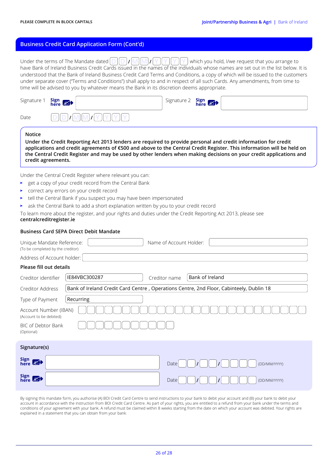## **Business Credit Card Application Form (Cont'd)**

Under the terms of The Mandate dated  $\text{D}\left\vert \text{D}\right\vert / \text{W}\left\vert \text{M}\right\vert / \text{Y}\left\vert \text{Y}\right\vert \text{Y}\left\vert \text{Y}\right\vert$  which you hold, I/we request that you arrange to have Bank of Ireland Business Credit Cards issued in the names of the individuals whose names are set out in the list below. It is understood that the Bank of Ireland Business Credit Card Terms and Conditions, a copy of which will be issued to the customers under separate cover ("Terms and Conditions") shall apply to and in respect of all such Cards. Any amendments, from time to time will be advised to you by whatever means the Bank in its discretion deems appropriate.

| Signature 1 <b>Sign</b> $\mathbb{R}$ |                  | Signature 2 <b>Sign</b> $\mathbb{S}$ |  |
|--------------------------------------|------------------|--------------------------------------|--|
| Date                                 | <b>MIM</b><br> I |                                      |  |

#### **Notice**

**Under the Credit Reporting Act 2013 lenders are required to provide personal and credit information for credit applications and credit agreements of €500 and above to the Central Credit Register. This information will be held on the Central Credit Register and may be used by other lenders when making decisions on your credit applications and credit agreements.**

Under the Central Credit Register where relevant you can:

- get a copy of your credit record from the Central Bank
- correct any errors on your credit record
- tell the Central Bank if you suspect you may have been impersonated
- ask the Central Bank to add a short explanation written by you to your credit record

To learn more about the register, and your rights and duties under the Credit Reporting Act 2013, please see **centralcreditregister.ie**

#### **Business Card SEPA Direct Debit Mandate**

| Unique Mandate Reference:<br>(To be completed by the creditor) |               | Name of Account Holder: |                                                                                         |
|----------------------------------------------------------------|---------------|-------------------------|-----------------------------------------------------------------------------------------|
| Address of Account holder:                                     |               |                         |                                                                                         |
| Please fill out details                                        |               |                         |                                                                                         |
| Creditor identifier                                            | IE84VBC300287 | Creditor name           | Bank of Ireland                                                                         |
| Creditor Address                                               |               |                         | Bank of Ireland Credit Card Centre, Operations Centre, 2nd Floor, Cabinteely, Dublin 18 |
| Type of Payment                                                | Recurring     |                         |                                                                                         |
| Account Number (IBAN)<br>(Account to be debited):              |               |                         |                                                                                         |
| BIC of Debtor Bank<br>(Optional)                               |               |                         |                                                                                         |
| Signature(s)                                                   |               |                         |                                                                                         |
| Sign 8                                                         |               | Date                    | (DD/MM/YYYY)                                                                            |
| Sign 8                                                         |               | Date                    | (DD/MM/YYYY)                                                                            |

By signing this mandate form, you authorise (A) BOI Credit Card Centre to send instructions to your bank to debit your account and (B) your bank to debit your account in accordance with the instruction from BOI Credit Card Centre. As part of your rights, you are entitled to a refund from your bank under the terms and conditions of your agreement with your bank. A refund must be claimed within 8 weeks starting from the date on which your account was debited. Your rights are explained in a statement that you can obtain from your bank.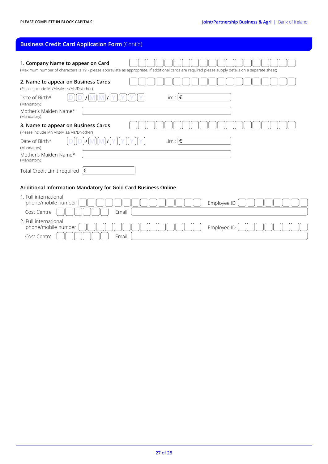# **Business Credit Card Application Form** (Cont'd)

Cost Centre  $\begin{bmatrix} \begin{bmatrix} \end{bmatrix} \begin{bmatrix} \end{bmatrix} \begin{bmatrix} \end{bmatrix} \begin{bmatrix} \end{bmatrix} \begin{bmatrix} \end{bmatrix} \begin{bmatrix} \end{bmatrix} \end{bmatrix}$  Email

| 1. Company Name to appear on Card<br>(Maximum number of characters is 19 - please abbreviate as appropriate. If additional cards are required please supply details on a separate sheet) |
|------------------------------------------------------------------------------------------------------------------------------------------------------------------------------------------|
| 2. Name to appear on Business Cards<br>(Please include Mr/Mrs/Miss/Ms/Dr/other)                                                                                                          |
| Limit $ \epsilon $<br>Date of Birth*<br>(Mandatory)                                                                                                                                      |
| Mother's Maiden Name*<br>(Mandatory)                                                                                                                                                     |
| 3. Name to appear on Business Cards<br>(Please include Mr/Mrs/Miss/Ms/Dr/other)                                                                                                          |
| Limit $ \epsilon$<br>Date of Birth*<br>(Mandatory)                                                                                                                                       |
| Mother's Maiden Name*<br>(Mandatory)                                                                                                                                                     |
| Total Credit Limit required $ \,\epsilon\,$                                                                                                                                              |
| Additional Information Mandatory for Gold Card Business Online                                                                                                                           |
| 1. Full international<br>Employee ID<br>phone/mobile number                                                                                                                              |
| Cost Centre<br>Email                                                                                                                                                                     |
| 2. Full international<br>Employee ID<br>phone/mobile number                                                                                                                              |